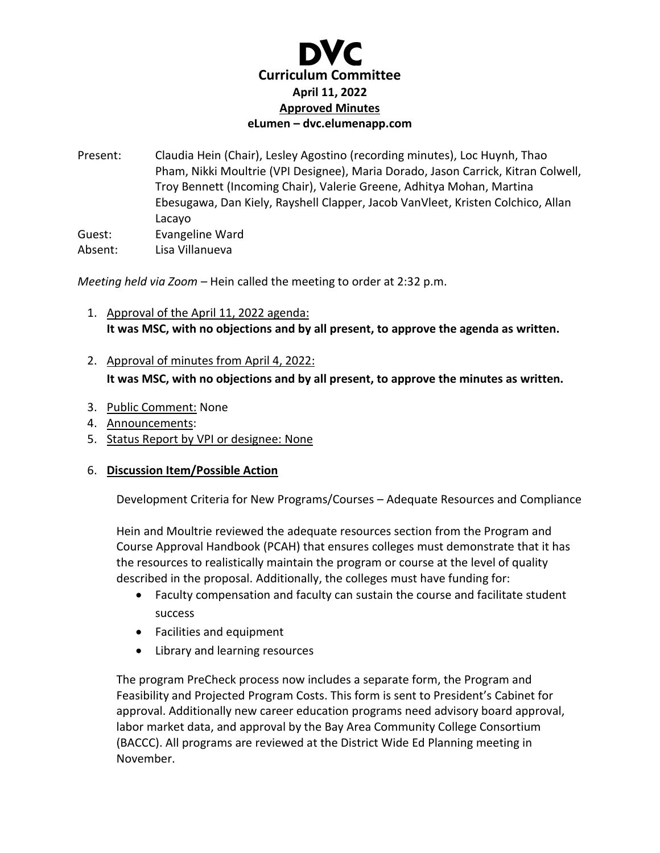

Present: Claudia Hein (Chair), Lesley Agostino (recording minutes), Loc Huynh, Thao Pham, Nikki Moultrie (VPI Designee), Maria Dorado, Jason Carrick, Kitran Colwell, Troy Bennett (Incoming Chair), Valerie Greene, Adhitya Mohan, Martina Ebesugawa, Dan Kiely, Rayshell Clapper, Jacob VanVleet, Kristen Colchico, Allan Lacayo Guest: Evangeline Ward Absent: Lisa Villanueva

*Meeting held via Zoom –* Hein called the meeting to order at 2:32 p.m.

- 1. Approval of the April 11, 2022 agenda: **It was MSC, with no objections and by all present, to approve the agenda as written.**
- 2. Approval of minutes from April 4, 2022: **It was MSC, with no objections and by all present, to approve the minutes as written.**
- 3. Public Comment: None
- 4. Announcements:
- 5. Status Report by VPI or designee: None

## 6. **Discussion Item/Possible Action**

Development Criteria for New Programs/Courses – Adequate Resources and Compliance

Hein and Moultrie reviewed the adequate resources section from the Program and Course Approval Handbook (PCAH) that ensures colleges must demonstrate that it has the resources to realistically maintain the program or course at the level of quality described in the proposal. Additionally, the colleges must have funding for:

- Faculty compensation and faculty can sustain the course and facilitate student success
- Facilities and equipment
- Library and learning resources

The program PreCheck process now includes a separate form, the Program and Feasibility and Projected Program Costs. This form is sent to President's Cabinet for approval. Additionally new career education programs need advisory board approval, labor market data, and approval by the Bay Area Community College Consortium (BACCC). All programs are reviewed at the District Wide Ed Planning meeting in November.